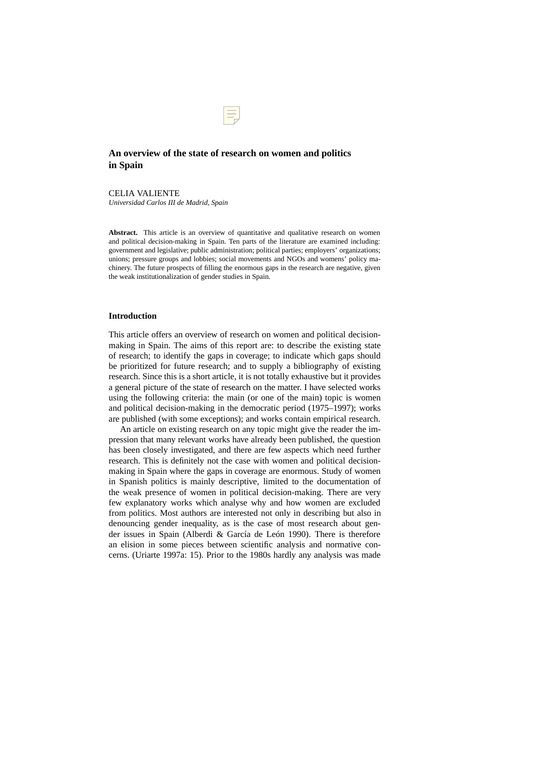

# **An overview of the state of research on women and politics in Spain**

CELIA VALIENTE *Universidad Carlos III de Madrid, Spain*

Abstract. This article is an overview of quantitative and qualitative research on women and political decision-making in Spain. Ten parts of the literature are examined including: government and legislative; public administration; political parties; employers' organizations; unions; pressure groups and lobbies; social movements and NGOs and womens' policy machinery. The future prospects of filling the enormous gaps in the research are negative, given the weak institutionalization of gender studies in Spain.

# **Introduction**

This article offers an overview of research on women and political decisionmaking in Spain. The aims of this report are: to describe the existing state of research; to identify the gaps in coverage; to indicate which gaps should be prioritized for future research; and to supply a bibliography of existing research. Since this is a short article, it is not totally exhaustive but it provides a general picture of the state of research on the matter. I have selected works using the following criteria: the main (or one of the main) topic is women and political decision-making in the democratic period (1975–1997); works are published (with some exceptions); and works contain empirical research.

An article on existing research on any topic might give the reader the impression that many relevant works have already been published, the question has been closely investigated, and there are few aspects which need further research. This is definitely not the case with women and political decisionmaking in Spain where the gaps in coverage are enormous. Study of women in Spanish politics is mainly descriptive, limited to the documentation of the weak presence of women in political decision-making. There are very few explanatory works which analyse why and how women are excluded from politics. Most authors are interested not only in describing but also in denouncing gender inequality, as is the case of most research about gender issues in Spain (Alberdi & García de León 1990). There is therefore an elision in some pieces between scientific analysis and normative concerns. (Uriarte 1997a: 15). Prior to the 1980s hardly any analysis was made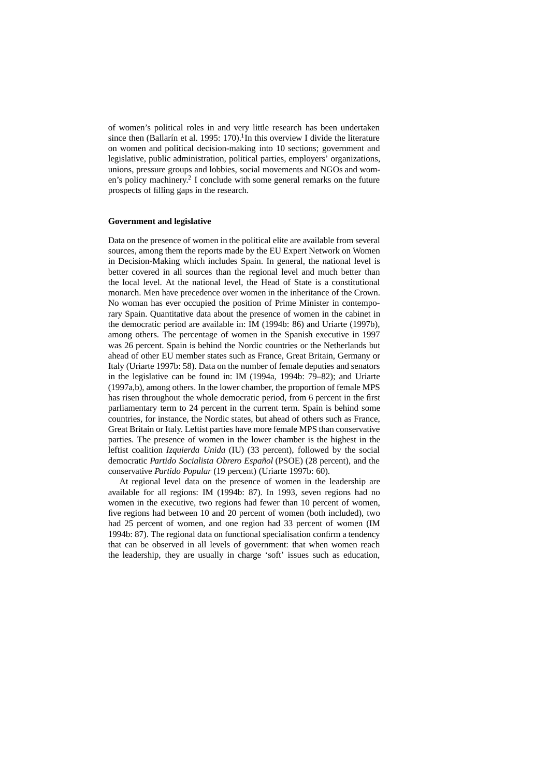of women's political roles in and very little research has been undertaken since then (Ballarín et al. 1995: 170).<sup>1</sup>In this overview I divide the literature on women and political decision-making into 10 sections; government and legislative, public administration, political parties, employers' organizations, unions, pressure groups and lobbies, social movements and NGOs and women's policy machinery.<sup>2</sup> I conclude with some general remarks on the future prospects of filling gaps in the research.

# **Government and legislative**

Data on the presence of women in the political elite are available from several sources, among them the reports made by the EU Expert Network on Women in Decision-Making which includes Spain. In general, the national level is better covered in all sources than the regional level and much better than the local level. At the national level, the Head of State is a constitutional monarch. Men have precedence over women in the inheritance of the Crown. No woman has ever occupied the position of Prime Minister in contemporary Spain. Quantitative data about the presence of women in the cabinet in the democratic period are available in: IM (1994b: 86) and Uriarte (1997b), among others. The percentage of women in the Spanish executive in 1997 was 26 percent. Spain is behind the Nordic countries or the Netherlands but ahead of other EU member states such as France, Great Britain, Germany or Italy (Uriarte 1997b: 58). Data on the number of female deputies and senators in the legislative can be found in: IM (1994a, 1994b: 79–82); and Uriarte (1997a,b), among others. In the lower chamber, the proportion of female MPS has risen throughout the whole democratic period, from 6 percent in the first parliamentary term to 24 percent in the current term. Spain is behind some countries, for instance, the Nordic states, but ahead of others such as France, Great Britain or Italy. Leftist parties have more female MPS than conservative parties. The presence of women in the lower chamber is the highest in the leftist coalition *Izquierda Unida* (IU) (33 percent), followed by the social democratic *Partido Socialista Obrero Español* (PSOE) (28 percent), and the conservative *Partido Popular* (19 percent) (Uriarte 1997b: 60).

At regional level data on the presence of women in the leadership are available for all regions: IM (1994b: 87). In 1993, seven regions had no women in the executive, two regions had fewer than 10 percent of women, five regions had between 10 and 20 percent of women (both included), two had 25 percent of women, and one region had 33 percent of women (IM 1994b: 87). The regional data on functional specialisation confirm a tendency that can be observed in all levels of government: that when women reach the leadership, they are usually in charge 'soft' issues such as education,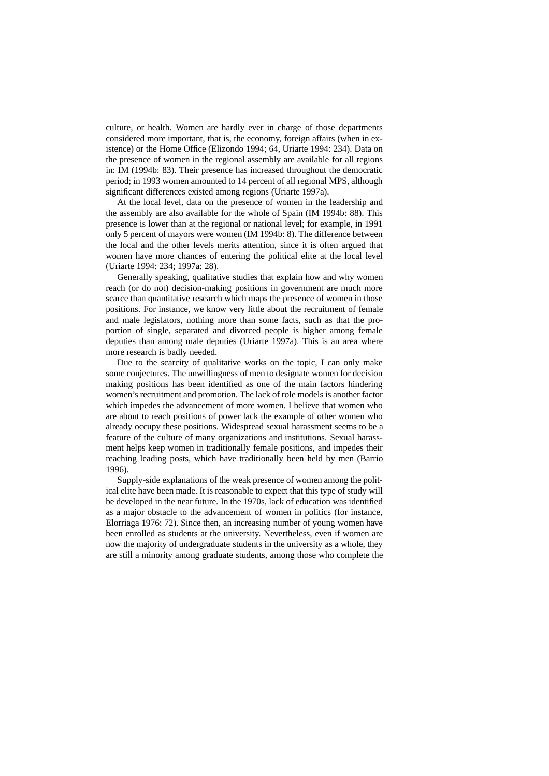culture, or health. Women are hardly ever in charge of those departments considered more important, that is, the economy, foreign affairs (when in existence) or the Home Office (Elizondo 1994; 64, Uriarte 1994: 234). Data on the presence of women in the regional assembly are available for all regions in: IM (1994b: 83). Their presence has increased throughout the democratic period; in 1993 women amounted to 14 percent of all regional MPS, although significant differences existed among regions (Uriarte 1997a).

At the local level, data on the presence of women in the leadership and the assembly are also available for the whole of Spain (IM 1994b: 88). This presence is lower than at the regional or national level; for example, in 1991 only 5 percent of mayors were women (IM 1994b: 8). The difference between the local and the other levels merits attention, since it is often argued that women have more chances of entering the political elite at the local level (Uriarte 1994: 234; 1997a: 28).

Generally speaking, qualitative studies that explain how and why women reach (or do not) decision-making positions in government are much more scarce than quantitative research which maps the presence of women in those positions. For instance, we know very little about the recruitment of female and male legislators, nothing more than some facts, such as that the proportion of single, separated and divorced people is higher among female deputies than among male deputies (Uriarte 1997a). This is an area where more research is badly needed.

Due to the scarcity of qualitative works on the topic, I can only make some conjectures. The unwillingness of men to designate women for decision making positions has been identified as one of the main factors hindering women's recruitment and promotion. The lack of role models is another factor which impedes the advancement of more women. I believe that women who are about to reach positions of power lack the example of other women who already occupy these positions. Widespread sexual harassment seems to be a feature of the culture of many organizations and institutions. Sexual harassment helps keep women in traditionally female positions, and impedes their reaching leading posts, which have traditionally been held by men (Barrio 1996).

Supply-side explanations of the weak presence of women among the political elite have been made. It is reasonable to expect that this type of study will be developed in the near future. In the 1970s, lack of education was identified as a major obstacle to the advancement of women in politics (for instance, Elorriaga 1976: 72). Since then, an increasing number of young women have been enrolled as students at the university. Nevertheless, even if women are now the majority of undergraduate students in the university as a whole, they are still a minority among graduate students, among those who complete the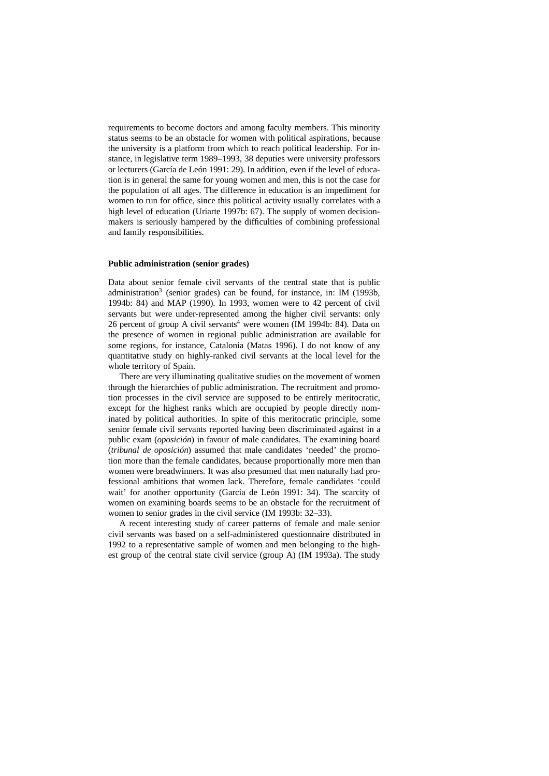requirements to become doctors and among faculty members. This minority status seems to be an obstacle for women with political aspirations, because the university is a platform from which to reach political leadership. For instance, in legislative term 1989–1993, 38 deputies were university professors or lecturers (García de León 1991: 29). In addition, even if the level of education is in general the same for young women and men, this is not the case for the population of all ages. The difference in education is an impediment for women to run for office, since this political activity usually correlates with a high level of education (Uriarte 1997b: 67). The supply of women decisionmakers is seriously hampered by the difficulties of combining professional and family responsibilities.

### **Public administration (senior grades)**

Data about senior female civil servants of the central state that is public administration<sup>3</sup> (senior grades) can be found, for instance, in: IM (1993b, 1994b: 84) and MAP (1990). In 1993, women were to 42 percent of civil servants but were under-represented among the higher civil servants: only 26 percent of group A civil servants<sup>4</sup> were women (IM 1994b: 84). Data on the presence of women in regional public administration are available for some regions, for instance, Catalonia (Matas 1996). I do not know of any quantitative study on highly-ranked civil servants at the local level for the whole territory of Spain.

There are very illuminating qualitative studies on the movement of women through the hierarchies of public administration. The recruitment and promotion processes in the civil service are supposed to be entirely meritocratic, except for the highest ranks which are occupied by people directly nominated by political authorities. In spite of this meritocratic principle, some senior female civil servants reported having been discriminated against in a public exam (*oposición*) in favour of male candidates. The examining board (*tribunal de oposición*) assumed that male candidates 'needed' the promotion more than the female candidates, because proportionally more men than women were breadwinners. It was also presumed that men naturally had professional ambitions that women lack. Therefore, female candidates 'could wait' for another opportunity (García de León 1991: 34). The scarcity of women on examining boards seems to be an obstacle for the recruitment of women to senior grades in the civil service (IM 1993b: 32–33).

A recent interesting study of career patterns of female and male senior civil servants was based on a self-administered questionnaire distributed in 1992 to a representative sample of women and men belonging to the highest group of the central state civil service (group A) (IM 1993a). The study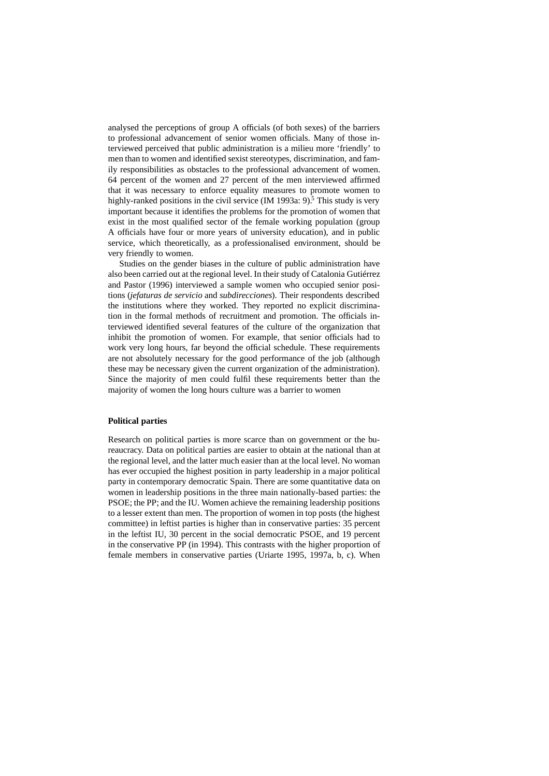analysed the perceptions of group A officials (of both sexes) of the barriers to professional advancement of senior women officials. Many of those interviewed perceived that public administration is a milieu more 'friendly' to men than to women and identified sexist stereotypes, discrimination, and family responsibilities as obstacles to the professional advancement of women. 64 percent of the women and 27 percent of the men interviewed affirmed that it was necessary to enforce equality measures to promote women to highly-ranked positions in the civil service (IM 1993a: 9).<sup>5</sup> This study is very important because it identifies the problems for the promotion of women that exist in the most qualified sector of the female working population (group A officials have four or more years of university education), and in public service, which theoretically, as a professionalised environment, should be very friendly to women.

Studies on the gender biases in the culture of public administration have also been carried out at the regional level. In their study of Catalonia Gutiérrez and Pastor (1996) interviewed a sample women who occupied senior positions (*jefaturas de servicio* and *subdirecciones*). Their respondents described the institutions where they worked. They reported no explicit discrimination in the formal methods of recruitment and promotion. The officials interviewed identified several features of the culture of the organization that inhibit the promotion of women. For example, that senior officials had to work very long hours, far beyond the official schedule. These requirements are not absolutely necessary for the good performance of the job (although these may be necessary given the current organization of the administration). Since the majority of men could fulfil these requirements better than the majority of women the long hours culture was a barrier to women

#### **Political parties**

Research on political parties is more scarce than on government or the bureaucracy. Data on political parties are easier to obtain at the national than at the regional level, and the latter much easier than at the local level. No woman has ever occupied the highest position in party leadership in a major political party in contemporary democratic Spain. There are some quantitative data on women in leadership positions in the three main nationally-based parties: the PSOE; the PP; and the IU. Women achieve the remaining leadership positions to a lesser extent than men. The proportion of women in top posts (the highest committee) in leftist parties is higher than in conservative parties: 35 percent in the leftist IU, 30 percent in the social democratic PSOE, and 19 percent in the conservative PP (in 1994). This contrasts with the higher proportion of female members in conservative parties (Uriarte 1995, 1997a, b, c). When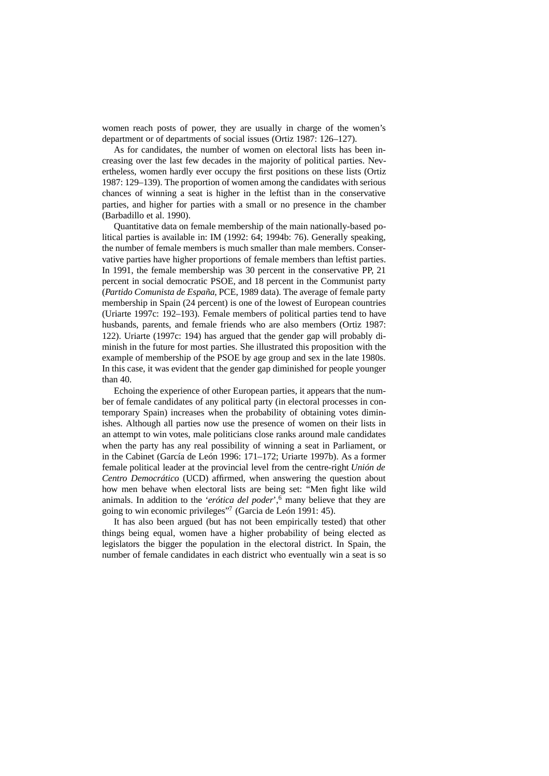women reach posts of power, they are usually in charge of the women's department or of departments of social issues (Ortiz 1987: 126–127).

As for candidates, the number of women on electoral lists has been increasing over the last few decades in the majority of political parties. Nevertheless, women hardly ever occupy the first positions on these lists (Ortiz 1987: 129–139). The proportion of women among the candidates with serious chances of winning a seat is higher in the leftist than in the conservative parties, and higher for parties with a small or no presence in the chamber (Barbadillo et al. 1990).

Quantitative data on female membership of the main nationally-based political parties is available in: IM (1992: 64; 1994b: 76). Generally speaking, the number of female members is much smaller than male members. Conservative parties have higher proportions of female members than leftist parties. In 1991, the female membership was 30 percent in the conservative PP, 21 percent in social democratic PSOE, and 18 percent in the Communist party (*Partido Comunista de España*, PCE, 1989 data). The average of female party membership in Spain (24 percent) is one of the lowest of European countries (Uriarte 1997c: 192–193). Female members of political parties tend to have husbands, parents, and female friends who are also members (Ortiz 1987: 122). Uriarte (1997c: 194) has argued that the gender gap will probably diminish in the future for most parties. She illustrated this proposition with the example of membership of the PSOE by age group and sex in the late 1980s. In this case, it was evident that the gender gap diminished for people younger than 40.

Echoing the experience of other European parties, it appears that the number of female candidates of any political party (in electoral processes in contemporary Spain) increases when the probability of obtaining votes diminishes. Although all parties now use the presence of women on their lists in an attempt to win votes, male politicians close ranks around male candidates when the party has any real possibility of winning a seat in Parliament, or in the Cabinet (García de León 1996: 171–172; Uriarte 1997b). As a former female political leader at the provincial level from the centre-right *Unión de Centro Democrático* (UCD) affirmed, when answering the question about how men behave when electoral lists are being set: "Men fight like wild animals. In addition to the *'erótica del poder*',<sup> $6$ </sup> many believe that they are going to win economic privileges"7 (Garcia de León 1991: 45).

It has also been argued (but has not been empirically tested) that other things being equal, women have a higher probability of being elected as legislators the bigger the population in the electoral district. In Spain, the number of female candidates in each district who eventually win a seat is so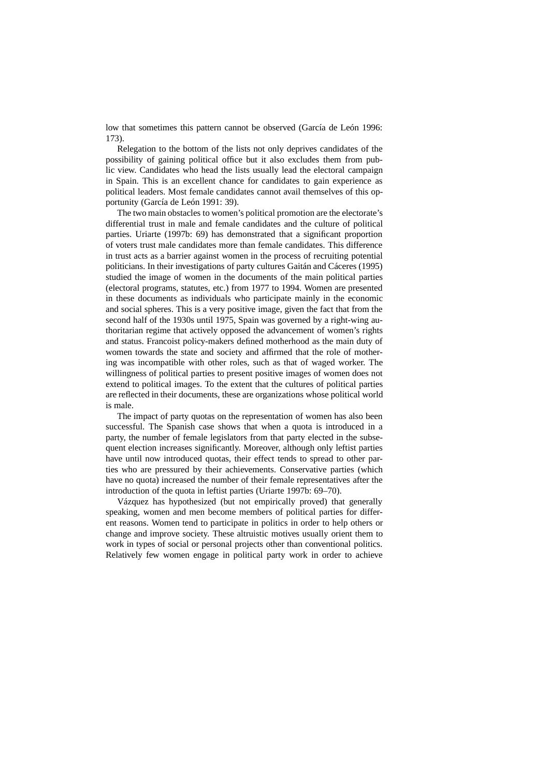low that sometimes this pattern cannot be observed (García de León 1996: 173).

Relegation to the bottom of the lists not only deprives candidates of the possibility of gaining political office but it also excludes them from public view. Candidates who head the lists usually lead the electoral campaign in Spain. This is an excellent chance for candidates to gain experience as political leaders. Most female candidates cannot avail themselves of this opportunity (García de León 1991: 39).

The two main obstacles to women's political promotion are the electorate's differential trust in male and female candidates and the culture of political parties. Uriarte (1997b: 69) has demonstrated that a significant proportion of voters trust male candidates more than female candidates. This difference in trust acts as a barrier against women in the process of recruiting potential politicians. In their investigations of party cultures Gaitán and Cáceres (1995) studied the image of women in the documents of the main political parties (electoral programs, statutes, etc.) from 1977 to 1994. Women are presented in these documents as individuals who participate mainly in the economic and social spheres. This is a very positive image, given the fact that from the second half of the 1930s until 1975, Spain was governed by a right-wing authoritarian regime that actively opposed the advancement of women's rights and status. Francoist policy-makers defined motherhood as the main duty of women towards the state and society and affirmed that the role of mothering was incompatible with other roles, such as that of waged worker. The willingness of political parties to present positive images of women does not extend to political images. To the extent that the cultures of political parties are reflected in their documents, these are organizations whose political world is male.

The impact of party quotas on the representation of women has also been successful. The Spanish case shows that when a quota is introduced in a party, the number of female legislators from that party elected in the subsequent election increases significantly. Moreover, although only leftist parties have until now introduced quotas, their effect tends to spread to other parties who are pressured by their achievements. Conservative parties (which have no quota) increased the number of their female representatives after the introduction of the quota in leftist parties (Uriarte 1997b: 69–70).

Vázquez has hypothesized (but not empirically proved) that generally speaking, women and men become members of political parties for different reasons. Women tend to participate in politics in order to help others or change and improve society. These altruistic motives usually orient them to work in types of social or personal projects other than conventional politics. Relatively few women engage in political party work in order to achieve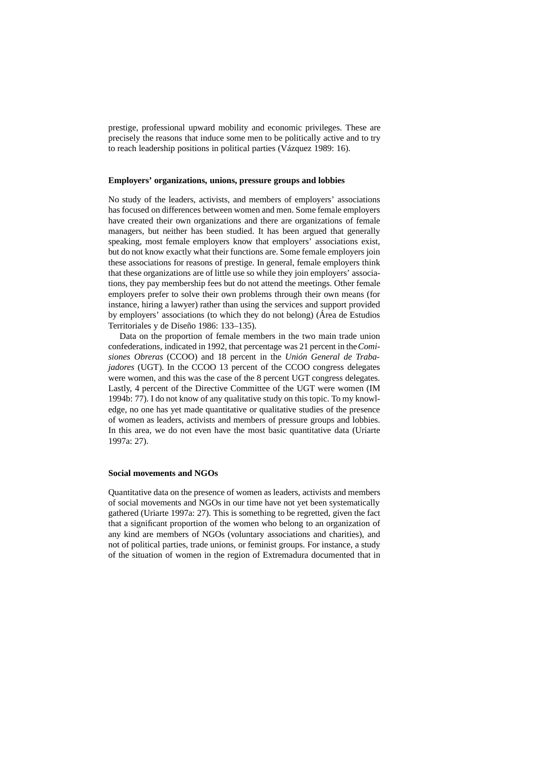prestige, professional upward mobility and economic privileges. These are precisely the reasons that induce some men to be politically active and to try to reach leadership positions in political parties (Vázquez 1989: 16).

### **Employers' organizations, unions, pressure groups and lobbies**

No study of the leaders, activists, and members of employers' associations has focused on differences between women and men. Some female employers have created their own organizations and there are organizations of female managers, but neither has been studied. It has been argued that generally speaking, most female employers know that employers' associations exist, but do not know exactly what their functions are. Some female employers join these associations for reasons of prestige. In general, female employers think that these organizations are of little use so while they join employers' associations, they pay membership fees but do not attend the meetings. Other female employers prefer to solve their own problems through their own means (for instance, hiring a lawyer) rather than using the services and support provided by employers' associations (to which they do not belong) (Área de Estudios Territoriales y de Diseño 1986: 133–135).

Data on the proportion of female members in the two main trade union confederations, indicated in 1992, that percentage was 21 percent in the*Comisiones Obreras* (CCOO) and 18 percent in the *Unión General de Trabajadores* (UGT). In the CCOO 13 percent of the CCOO congress delegates were women, and this was the case of the 8 percent UGT congress delegates. Lastly, 4 percent of the Directive Committee of the UGT were women (IM 1994b: 77). I do not know of any qualitative study on this topic. To my knowledge, no one has yet made quantitative or qualitative studies of the presence of women as leaders, activists and members of pressure groups and lobbies. In this area, we do not even have the most basic quantitative data (Uriarte 1997a: 27).

# **Social movements and NGOs**

Quantitative data on the presence of women as leaders, activists and members of social movements and NGOs in our time have not yet been systematically gathered (Uriarte 1997a: 27). This is something to be regretted, given the fact that a significant proportion of the women who belong to an organization of any kind are members of NGOs (voluntary associations and charities), and not of political parties, trade unions, or feminist groups. For instance, a study of the situation of women in the region of Extremadura documented that in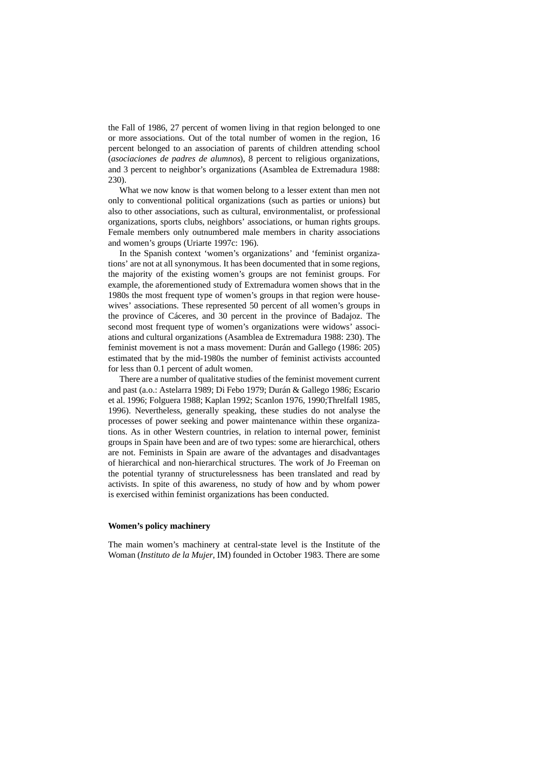the Fall of 1986, 27 percent of women living in that region belonged to one or more associations. Out of the total number of women in the region, 16 percent belonged to an association of parents of children attending school (*asociaciones de padres de alumnos*), 8 percent to religious organizations, and 3 percent to neighbor's organizations (Asamblea de Extremadura 1988: 230).

What we now know is that women belong to a lesser extent than men not only to conventional political organizations (such as parties or unions) but also to other associations, such as cultural, environmentalist, or professional organizations, sports clubs, neighbors' associations, or human rights groups. Female members only outnumbered male members in charity associations and women's groups (Uriarte 1997c: 196).

In the Spanish context 'women's organizations' and 'feminist organizations' are not at all synonymous. It has been documented that in some regions, the majority of the existing women's groups are not feminist groups. For example, the aforementioned study of Extremadura women shows that in the 1980s the most frequent type of women's groups in that region were housewives' associations. These represented 50 percent of all women's groups in the province of Cáceres, and 30 percent in the province of Badajoz. The second most frequent type of women's organizations were widows' associations and cultural organizations (Asamblea de Extremadura 1988: 230). The feminist movement is not a mass movement: Durán and Gallego (1986: 205) estimated that by the mid-1980s the number of feminist activists accounted for less than 0.1 percent of adult women.

There are a number of qualitative studies of the feminist movement current and past (a.o.: Astelarra 1989; Di Febo 1979; Durán & Gallego 1986; Escario et al. 1996; Folguera 1988; Kaplan 1992; Scanlon 1976, 1990;Threlfall 1985, 1996). Nevertheless, generally speaking, these studies do not analyse the processes of power seeking and power maintenance within these organizations. As in other Western countries, in relation to internal power, feminist groups in Spain have been and are of two types: some are hierarchical, others are not. Feminists in Spain are aware of the advantages and disadvantages of hierarchical and non-hierarchical structures. The work of Jo Freeman on the potential tyranny of structurelessness has been translated and read by activists. In spite of this awareness, no study of how and by whom power is exercised within feminist organizations has been conducted.

#### **Women's policy machinery**

The main women's machinery at central-state level is the Institute of the Woman (*Instituto de la Mujer*, IM) founded in October 1983. There are some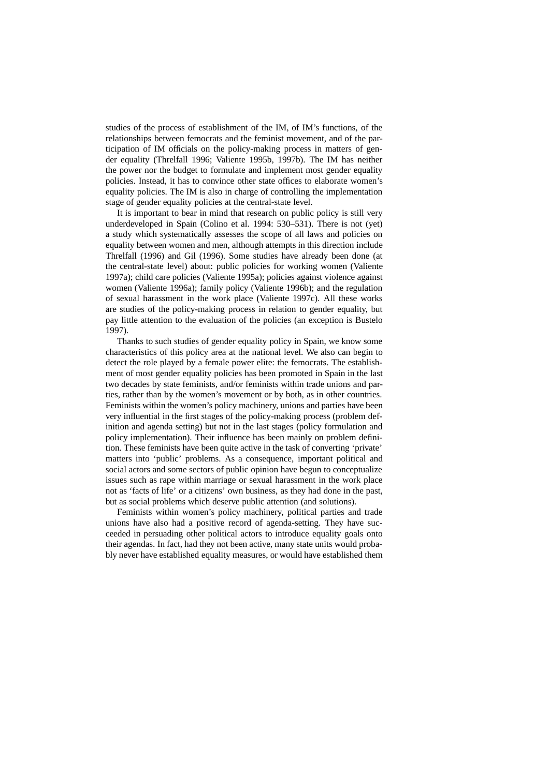studies of the process of establishment of the IM, of IM's functions, of the relationships between femocrats and the feminist movement, and of the participation of IM officials on the policy-making process in matters of gender equality (Threlfall 1996; Valiente 1995b, 1997b). The IM has neither the power nor the budget to formulate and implement most gender equality policies. Instead, it has to convince other state offices to elaborate women's equality policies. The IM is also in charge of controlling the implementation stage of gender equality policies at the central-state level.

It is important to bear in mind that research on public policy is still very underdeveloped in Spain (Colino et al. 1994: 530–531). There is not (yet) a study which systematically assesses the scope of all laws and policies on equality between women and men, although attempts in this direction include Threlfall (1996) and Gil (1996). Some studies have already been done (at the central-state level) about: public policies for working women (Valiente 1997a); child care policies (Valiente 1995a); policies against violence against women (Valiente 1996a); family policy (Valiente 1996b); and the regulation of sexual harassment in the work place (Valiente 1997c). All these works are studies of the policy-making process in relation to gender equality, but pay little attention to the evaluation of the policies (an exception is Bustelo 1997).

Thanks to such studies of gender equality policy in Spain, we know some characteristics of this policy area at the national level. We also can begin to detect the role played by a female power elite: the femocrats. The establishment of most gender equality policies has been promoted in Spain in the last two decades by state feminists, and/or feminists within trade unions and parties, rather than by the women's movement or by both, as in other countries. Feminists within the women's policy machinery, unions and parties have been very influential in the first stages of the policy-making process (problem definition and agenda setting) but not in the last stages (policy formulation and policy implementation). Their influence has been mainly on problem definition. These feminists have been quite active in the task of converting 'private' matters into 'public' problems. As a consequence, important political and social actors and some sectors of public opinion have begun to conceptualize issues such as rape within marriage or sexual harassment in the work place not as 'facts of life' or a citizens' own business, as they had done in the past, but as social problems which deserve public attention (and solutions).

Feminists within women's policy machinery, political parties and trade unions have also had a positive record of agenda-setting. They have succeeded in persuading other political actors to introduce equality goals onto their agendas. In fact, had they not been active, many state units would probably never have established equality measures, or would have established them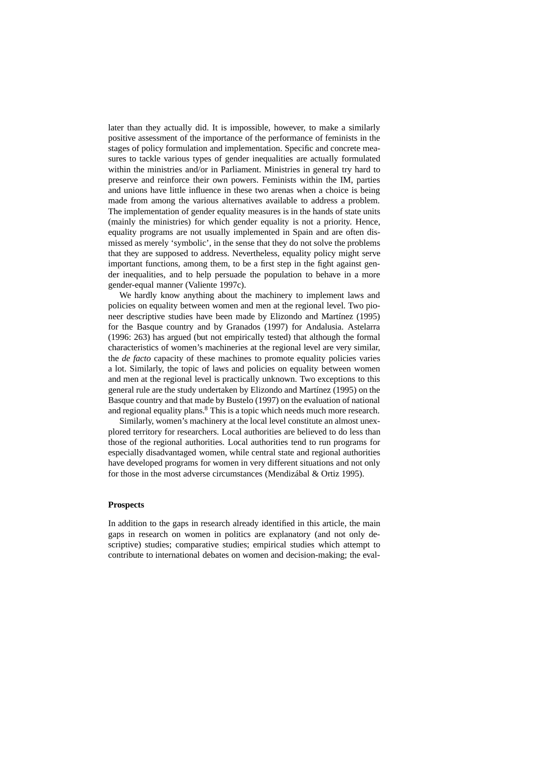later than they actually did. It is impossible, however, to make a similarly positive assessment of the importance of the performance of feminists in the stages of policy formulation and implementation. Specific and concrete measures to tackle various types of gender inequalities are actually formulated within the ministries and/or in Parliament. Ministries in general try hard to preserve and reinforce their own powers. Feminists within the IM, parties and unions have little influence in these two arenas when a choice is being made from among the various alternatives available to address a problem. The implementation of gender equality measures is in the hands of state units (mainly the ministries) for which gender equality is not a priority. Hence, equality programs are not usually implemented in Spain and are often dismissed as merely 'symbolic', in the sense that they do not solve the problems that they are supposed to address. Nevertheless, equality policy might serve important functions, among them, to be a first step in the fight against gender inequalities, and to help persuade the population to behave in a more gender-equal manner (Valiente 1997c).

We hardly know anything about the machinery to implement laws and policies on equality between women and men at the regional level. Two pioneer descriptive studies have been made by Elizondo and Martínez (1995) for the Basque country and by Granados (1997) for Andalusia. Astelarra (1996: 263) has argued (but not empirically tested) that although the formal characteristics of women's machineries at the regional level are very similar, the *de facto* capacity of these machines to promote equality policies varies a lot. Similarly, the topic of laws and policies on equality between women and men at the regional level is practically unknown. Two exceptions to this general rule are the study undertaken by Elizondo and Martínez (1995) on the Basque country and that made by Bustelo (1997) on the evaluation of national and regional equality plans.8 This is a topic which needs much more research.

Similarly, women's machinery at the local level constitute an almost unexplored territory for researchers. Local authorities are believed to do less than those of the regional authorities. Local authorities tend to run programs for especially disadvantaged women, while central state and regional authorities have developed programs for women in very different situations and not only for those in the most adverse circumstances (Mendizábal & Ortiz 1995).

#### **Prospects**

In addition to the gaps in research already identified in this article, the main gaps in research on women in politics are explanatory (and not only descriptive) studies; comparative studies; empirical studies which attempt to contribute to international debates on women and decision-making; the eval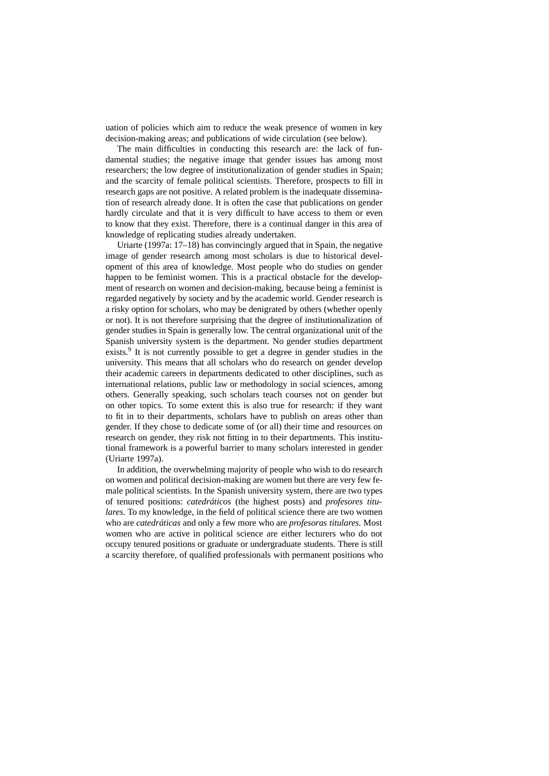uation of policies which aim to reduce the weak presence of women in key decision-making areas; and publications of wide circulation (see below).

The main difficulties in conducting this research are: the lack of fundamental studies; the negative image that gender issues has among most researchers; the low degree of institutionalization of gender studies in Spain; and the scarcity of female political scientists. Therefore, prospects to fill in research gaps are not positive. A related problem is the inadequate dissemination of research already done. It is often the case that publications on gender hardly circulate and that it is very difficult to have access to them or even to know that they exist. Therefore, there is a continual danger in this area of knowledge of replicating studies already undertaken.

Uriarte (1997a: 17–18) has convincingly argued that in Spain, the negative image of gender research among most scholars is due to historical development of this area of knowledge. Most people who do studies on gender happen to be feminist women. This is a practical obstacle for the development of research on women and decision-making, because being a feminist is regarded negatively by society and by the academic world. Gender research is a risky option for scholars, who may be denigrated by others (whether openly or not). It is not therefore surprising that the degree of institutionalization of gender studies in Spain is generally low. The central organizational unit of the Spanish university system is the department. No gender studies department exists.<sup>9</sup> It is not currently possible to get a degree in gender studies in the university. This means that all scholars who do research on gender develop their academic careers in departments dedicated to other disciplines, such as international relations, public law or methodology in social sciences, among others. Generally speaking, such scholars teach courses not on gender but on other topics. To some extent this is also true for research: if they want to fit in to their departments, scholars have to publish on areas other than gender. If they chose to dedicate some of (or all) their time and resources on research on gender, they risk not fitting in to their departments. This institutional framework is a powerful barrier to many scholars interested in gender (Uriarte 1997a).

In addition, the overwhelming majority of people who wish to do research on women and political decision-making are women but there are very few female political scientists. In the Spanish university system, there are two types of tenured positions: *catedráticos* (the highest posts) and *profesores titulares.* To my knowledge, in the field of political science there are two women who are *catedráticas* and only a few more who are *profesoras titulares.* Most women who are active in political science are either lecturers who do not occupy tenured positions or graduate or undergraduate students. There is still a scarcity therefore, of qualified professionals with permanent positions who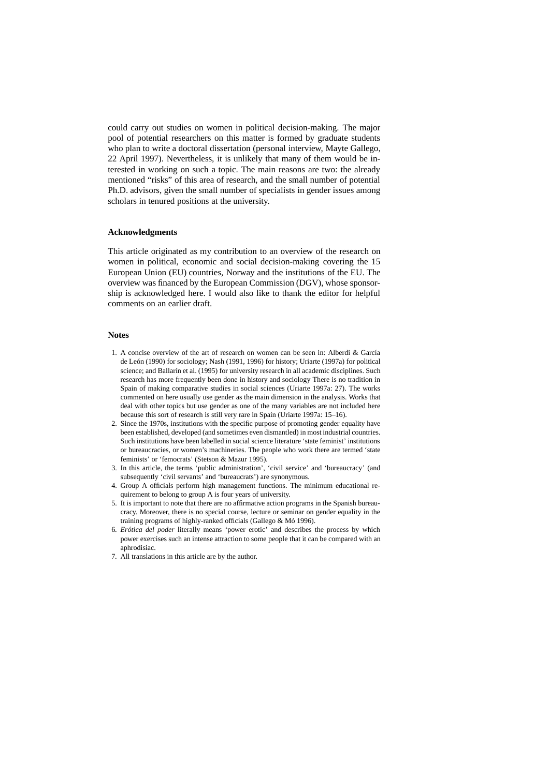could carry out studies on women in political decision-making. The major pool of potential researchers on this matter is formed by graduate students who plan to write a doctoral dissertation (personal interview, Mayte Gallego, 22 April 1997). Nevertheless, it is unlikely that many of them would be interested in working on such a topic. The main reasons are two: the already mentioned "risks" of this area of research, and the small number of potential Ph.D. advisors, given the small number of specialists in gender issues among scholars in tenured positions at the university.

# **Acknowledgments**

This article originated as my contribution to an overview of the research on women in political, economic and social decision-making covering the 15 European Union (EU) countries, Norway and the institutions of the EU. The overview was financed by the European Commission (DGV), whose sponsorship is acknowledged here. I would also like to thank the editor for helpful comments on an earlier draft.

# **Notes**

- 1. A concise overview of the art of research on women can be seen in: Alberdi & García de León (1990) for sociology; Nash (1991, 1996) for history; Uriarte (1997a) for political science; and Ballarín et al. (1995) for university research in all academic disciplines. Such research has more frequently been done in history and sociology There is no tradition in Spain of making comparative studies in social sciences (Uriarte 1997a: 27). The works commented on here usually use gender as the main dimension in the analysis. Works that deal with other topics but use gender as one of the many variables are not included here because this sort of research is still very rare in Spain (Uriarte 1997a: 15–16).
- 2. Since the 1970s, institutions with the specific purpose of promoting gender equality have been established, developed (and sometimes even dismantled) in most industrial countries. Such institutions have been labelled in social science literature 'state feminist' institutions or bureaucracies, or women's machineries. The people who work there are termed 'state feminists' or 'femocrats' (Stetson & Mazur 1995).
- 3. In this article, the terms 'public administration', 'civil service' and 'bureaucracy' (and subsequently 'civil servants' and 'bureaucrats') are synonymous.
- 4. Group A officials perform high management functions. The minimum educational requirement to belong to group A is four years of university.
- 5. It is important to note that there are no affirmative action programs in the Spanish bureaucracy. Moreover, there is no special course, lecture or seminar on gender equality in the training programs of highly-ranked officials (Gallego & Mó 1996).
- 6. *Erótica del poder* literally means 'power erotic' and describes the process by which power exercises such an intense attraction to some people that it can be compared with an aphrodisiac.
- 7. All translations in this article are by the author.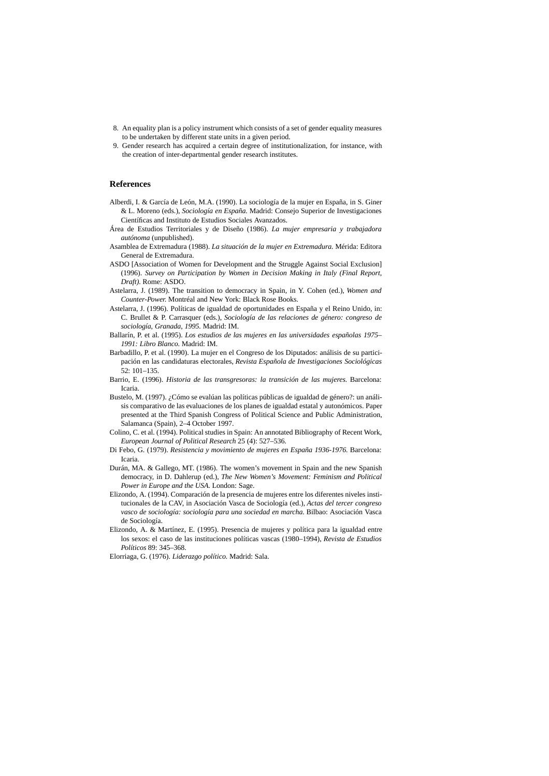- 8. An equality plan is a policy instrument which consists of a set of gender equality measures to be undertaken by different state units in a given period.
- 9. Gender research has acquired a certain degree of institutionalization, for instance, with the creation of inter-departmental gender research institutes.

### **References**

- Alberdi, I. & García de León, M.A. (1990). La sociología de la mujer en España, in S. Giner & L. Moreno (eds.), *Sociología en España.* Madrid: Consejo Superior de Investigaciones Científicas and Instituto de Estudios Sociales Avanzados.
- Área de Estudios Territoriales y de Diseño (1986). *La mujer empresaria y trabajadora autónoma* (unpublished).
- Asamblea de Extremadura (1988). *La situación de la mujer en Extremadura.* Mérida: Editora General de Extremadura.
- ASDO [Association of Women for Development and the Struggle Against Social Exclusion] (1996). *Survey on Participation by Women in Decision Making in Italy (Final Report, Draft).* Rome: ASDO.
- Astelarra, J. (1989). The transition to democracy in Spain, in Y. Cohen (ed.), *Women and Counter-Power.* Montréal and New York: Black Rose Books.
- Astelarra, J. (1996). Políticas de igualdad de oportunidades en España y el Reino Unido, in: C. Brullet & P. Carrasquer (eds.), *Sociología de las relaciones de género: congreso de sociología*, *Granada*, *1995.* Madrid: IM.
- Ballarín, P. et al. (1995). *Los estudios de las mujeres en las universidades españolas 1975– 1991: Libro Blanco.* Madrid: IM.
- Barbadillo, P. et al. (1990). La mujer en el Congreso de los Diputados: análisis de su participación en las candidaturas electorales, *Revista Española de Investigaciones Sociológicas* 52: 101–135.
- Barrio, E. (1996). *Historia de las transgresoras: la transición de las mujeres.* Barcelona: Icaria.
- Bustelo, M. (1997). ¿Cómo se evalúan las políticas públicas de igualdad de género?: un análisis comparativo de las evaluaciones de los planes de igualdad estatal y autonómicos. Paper presented at the Third Spanish Congress of Political Science and Public Administration, Salamanca (Spain), 2–4 October 1997.
- Colino, C. et al. (1994). Political studies in Spain: An annotated Bibliography of Recent Work, *European Journal of Political Research* 25 (4): 527–536.
- Di Febo, G. (1979). *Resistencia y movimiento de mujeres en España 1936-1976.* Barcelona: Icaria.
- Durán, MA. & Gallego, MT. (1986). The women's movement in Spain and the new Spanish democracy, in D. Dahlerup (ed.), *The New Women's Movement: Feminism and Political Power in Europe and the USA.* London: Sage.
- Elizondo, A. (1994). Comparación de la presencia de mujeres entre los diferentes niveles institucionales de la CAV, in Asociación Vasca de Sociología (ed.), *Actas del tercer congreso vasco de sociología: sociología para una sociedad en marcha.* Bilbao: Asociación Vasca de Sociología.
- Elizondo, A. & Martínez, E. (1995). Presencia de mujeres y política para la igualdad entre los sexos: el caso de las instituciones políticas vascas (1980–1994), *Revista de Estudios Políticos* 89: 345–368.
- Elorriaga, G. (1976). *Liderazgo político.* Madrid: Sala.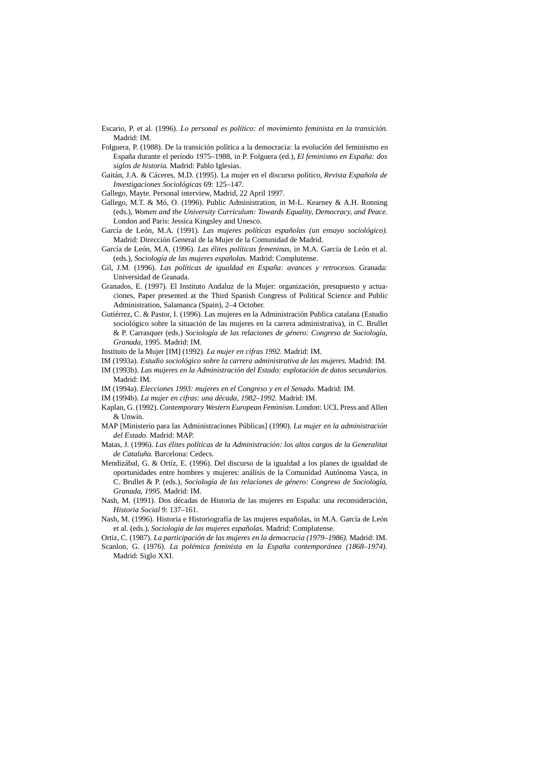- Escario, P. et al. (1996). *Lo personal es político: el movimiento feminista en la transición.* Madrid: IM.
- Folguera, P. (1988). De la transición política a la democracia: la evolución del feminismo en España durante el período 1975–1988, in P. Folguera (ed.), *El feminismo en España: dos siglos de historia.* Madrid: Pablo Iglesias.
- Gaitán, J.A. & Cáceres, M.D. (1995). La mujer en el discurso político, *Revista Española de Investigaciones Sociológicas* 69: 125–147.
- Gallego, Mayte. Personal interview, Madrid, 22 April 1997.
- Gallego, M.T. & Mó, O. (1996). Public Administration, in M-L. Kearney & A.H. Ronning (eds.), *Women and the University Curriculum: Towards Equality, Democracy, and Peace.* London and Paris: Jessica Kingsley and Unesco.
- García de León, M.A. (1991). *Las mujeres políticas españolas (un ensayo sociológico).* Madrid: Dirección General de la Mujer de la Comunidad de Madrid.
- García de León, M.A. (1996). *Las élites políticas femeninas*, in M.A. García de León et al. (eds.), *Sociología de las mujeres españolas.* Madrid: Complutense.
- Gil, J.M. (1996). *Las políticas de igualdad en España: avances y retrocesos.* Granada: Universidad de Granada.
- Granados, E. (1997). El Instituto Andaluz de la Mujer: organización, presupuesto y actuaciones, Paper presented at the Third Spanish Congress of Political Science and Public Administration, Salamanca (Spain), 2–4 October.
- Gutiérrez, C. & Pastor, I. (1996). Las mujeres en la Administración Publica catalana (Estudio sociológico sobre la situación de las mujeres en la carrera administrativa), in C. Brullet & P. Carrasquer (eds.) *Sociología de las relaciones de género: Congreso de Sociología, Granada,* 1995. Madrid: IM.
- Instituto de la Mujer [IM] (1992). *La mujer en cifras 1992.* Madrid: IM.
- IM (1993a). *Estudio sociológico sobre la carrera administrativa de las mujeres.* Madrid: IM.
- IM (1993b). *Las mujeres en la Administración del Estado: explotación de datos secundarios.* Madrid: IM.
- IM (1994a). *Elecciones 1993: mujeres en el Congreso y en el Senado.* Madrid: IM.
- IM (1994b). *La mujer en cifras: una década, 1982–1992.* Madrid: IM.
- Kaplan, G. (1992). *Contemporary Western European Feminism.* London: UCL Press and Allen & Unwin.
- MAP [Ministerio para las Administraciones Públicas] (1990). *La mujer en la administración del Estado.* Madrid: MAP.
- Matas, J. (1996). *Las élites políticas de la Administración: los altos cargos de la Generalitat de Cataluña.* Barcelona: Cedecs.
- Mendizábal, G. & Ortíz, E. (1996). Del discurso de la igualdad a los planes de igualdad de oportunidades entre hombres y mujeres: análisis de la Comunidad Autónoma Vasca, in C. Brullet & P. (eds.), *Sociología de las relaciones de género: Congreso de Sociología*, *Granada*, *1995.* Madrid: IM.
- Nash, M. (1991). Dos décadas de Historia de las mujeres en España: una reconsideración, *Historia Social* 9: 137–161.
- Nash, M. (1996). Historia e Historiografía de las mujeres españolas, in M.A. García de León et al. (eds.), *Sociología de las mujeres españolas.* Madrid: Complutense.
- Ortiz, C. (1987). *La participación de las mujeres en la democracia (1979–1986).* Madrid: IM.
- Scanlon, G. (1976). *La polémica feminista en la España contemporánea (1868–1974).* Madrid: Siglo XXI.